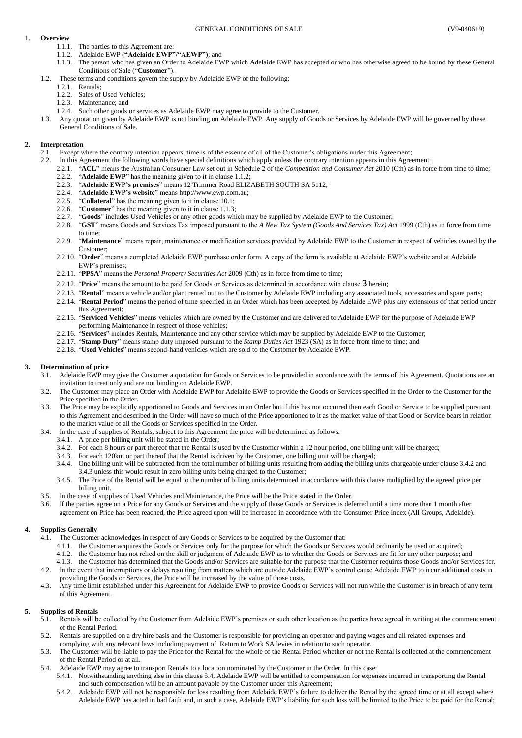## <span id="page-0-0"></span>1. **Overview**

- 1.1.1. The parties to this Agreement are:
- 1.1.2. Adelaide EWP (**"Adelaide EWP"/"AEWP")**; and
- 1.1.3. The person who has given an Order to Adelaide EWP which Adelaide EWP has accepted or who has otherwise agreed to be bound by these General Conditions of Sale ("**Customer**").
- <span id="page-0-1"></span>1.2. These terms and conditions govern the supply by Adelaide EWP of the following:
	- 1.2.1. Rentals;
	- 1.2.2. Sales of Used Vehicles;
	- 1.2.3. Maintenance; and
	- 1.2.4. Such other goods or services as Adelaide EWP may agree to provide to the Customer.
- 1.3. Any quotation given by Adelaide EWP is not binding on Adelaide EWP. Any supply of Goods or Services by Adelaide EWP will be governed by these General Conditions of Sale.

## **2. Interpretation**

- 2.1. Except where the contrary intention appears, time is of the essence of all of the Customer's obligations under this Agreement;
- 2.2. In this Agreement the following words have special definitions which apply unless the contrary intention appears in this Agreement:
	- 2.2.1. "**ACL**" means the Australian Consumer Law set out in Schedule 2 of the *Competition and Consumer Act* 2010 (Cth) as in force from time to time;
	- 2.2.2. "**Adelaide EWP**" has the meaning given to it in claus[e 1.1.2;](#page-0-0)
	- 2.2.3. "**Adelaide EWP's premises**" means 12 Trimmer Road ELIZABETH SOUTH SA 5112;
	- 2.2.4. "**Adelaide EWP's website**" means http://www.ewp.com.au;
	- 2.2.5. "**Collateral**" has the meaning given to it in claus[e 10.1;](#page-2-0)
	- 2.2.6. "**Customer**" has the meaning given to it in claus[e 1.1.3;](#page-0-1)
	- 2.2.7. "**Goods**" includes Used Vehicles or any other goods which may be supplied by Adelaide EWP to the Customer;
	- 2.2.8. "**GST**" means Goods and Services Tax imposed pursuant to the *A New Tax System (Goods And Services Tax) Act* 1999 (Cth) as in force from time to time;
	- 2.2.9. "**Maintenance**" means repair, maintenance or modification services provided by Adelaide EWP to the Customer in respect of vehicles owned by the Customer;
	- 2.2.10. "**Order**" means a completed Adelaide EWP purchase order form. A copy of the form is available at Adelaide EWP's website and at Adelaide EWP's premises;
	- 2.2.11. "**PPSA**" means the *Personal Property Securities Act* 2009 (Cth) as in force from time to time;
	- 2.2.12. "**Price**" means the amount to be paid for Goods or Services as determined in accordance with clause [3](#page-0-2) herein;
	- 2.2.13. "**Rental**" means a vehicle and/or plant rented out to the Customer by Adelaide EWP including any associated tools, accessories and spare parts;
	- 2.2.14. "**Rental Period**" means the period of time specified in an Order which has been accepted by Adelaide EWP plus any extensions of that period under this Agreement;
	- 2.2.15. "**Serviced Vehicles**" means vehicles which are owned by the Customer and are delivered to Adelaide EWP for the purpose of Adelaide EWP performing Maintenance in respect of those vehicles;
	- 2.2.16. "**Services**" includes Rentals, Maintenance and any other service which may be supplied by Adelaide EWP to the Customer;
	- 2.2.17. "**Stamp Duty**" means stamp duty imposed pursuant to the *Stamp Duties Act* 1923 (SA) as in force from time to time; and
	- 2.2.18. "**Used Vehicles**" means second-hand vehicles which are sold to the Customer by Adelaide EWP.

## <span id="page-0-2"></span>**3. Determination of price**

- 3.1. Adelaide EWP may give the Customer a quotation for Goods or Services to be provided in accordance with the terms of this Agreement. Quotations are an invitation to treat only and are not binding on Adelaide EWP.
- 3.2. The Customer may place an Order with Adelaide EWP for Adelaide EWP to provide the Goods or Services specified in the Order to the Customer for the Price specified in the Order.
- 3.3. The Price may be explicitly apportioned to Goods and Services in an Order but if this has not occurred then each Good or Service to be supplied pursuant to this Agreement and described in the Order will have so much of the Price apportioned to it as the market value of that Good or Service bears in relation to the market value of all the Goods or Services specified in the Order.
- <span id="page-0-4"></span><span id="page-0-3"></span>3.4. In the case of supplies of Rentals, subject to this Agreement the price will be determined as follows:
	- 3.4.1. A price per billing unit will be stated in the Order;
	- 3.4.2. For each 8 hours or part thereof that the Rental is used by the Customer within a 12 hour period, one billing unit will be charged;
	- 3.4.3. For each 120km or part thereof that the Rental is driven by the Customer, one billing unit will be charged;
	- 3.4.4. One billing unit will be subtracted from the total number of billing units resulting from adding the billing units chargeable under claus[e 3.4.2](#page-0-3) and [3.4.3](#page-0-4) unless this would result in zero billing units being charged to the Customer;
	- 3.4.5. The Price of the Rental will be equal to the number of billing units determined in accordance with this clause multiplied by the agreed price per billing unit.
- 3.5. In the case of supplies of Used Vehicles and Maintenance, the Price will be the Price stated in the Order.
- 3.6. If the parties agree on a Price for any Goods or Services and the supply of those Goods or Services is deferred until a time more than 1 month after agreement on Price has been reached, the Price agreed upon will be increased in accordance with the Consumer Price Index (All Groups, Adelaide).

## **4. Supplies Generally**

- 4.1. The Customer acknowledges in respect of any Goods or Services to be acquired by the Customer that:
	- 4.1.1. the Customer acquires the Goods or Services only for the purpose for which the Goods or Services would ordinarily be used or acquired;
	- 4.1.2. the Customer has not relied on the skill or judgment of Adelaide EWP as to whether the Goods or Services are fit for any other purpose; and
- 4.1.3. the Customer has determined that the Goods and/or Services are suitable for the purpose that the Customer requires those Goods and/or Services for. 4.2. In the event that interruptions or delays resulting from matters which are outside Adelaide EWP's control cause Adelaide EWP to incur additional costs in
- providing the Goods or Services, the Price will be increased by the value of those costs. 4.3. Any time limit established under this Agreement for Adelaide EWP to provide Goods or Services will not run while the Customer is in breach of any term of this Agreement.

## <span id="page-0-6"></span>**5. Supplies of Rentals**

- 5.1. Rentals will be collected by the Customer from Adelaide EWP's premises or such other location as the parties have agreed in writing at the commencement of the Rental Period.
- 5.2. Rentals are supplied on a dry hire basis and the Customer is responsible for providing an operator and paying wages and all related expenses and complying with any relevant laws including payment of Return to Work SA levies in relation to such operator.
- The Customer will be liable to pay the Price for the Rental for the whole of the Rental Period whether or not the Rental is collected at the commencement of the Rental Period or at all.
- <span id="page-0-5"></span>5.4. Adelaide EWP may agree to transport Rentals to a location nominated by the Customer in the Order. In this case:
	- 5.4.1. Notwithstanding anything else in this claus[e 5.4,](#page-0-5) Adelaide EWP will be entitled to compensation for expenses incurred in transporting the Rental and such compensation will be an amount payable by the Customer under this Agreement;
	- 5.4.2. Adelaide EWP will not be responsible for loss resulting from Adelaide EWP's failure to deliver the Rental by the agreed time or at all except where Adelaide EWP has acted in bad faith and, in such a case, Adelaide EWP's liability for such loss will be limited to the Price to be paid for the Rental;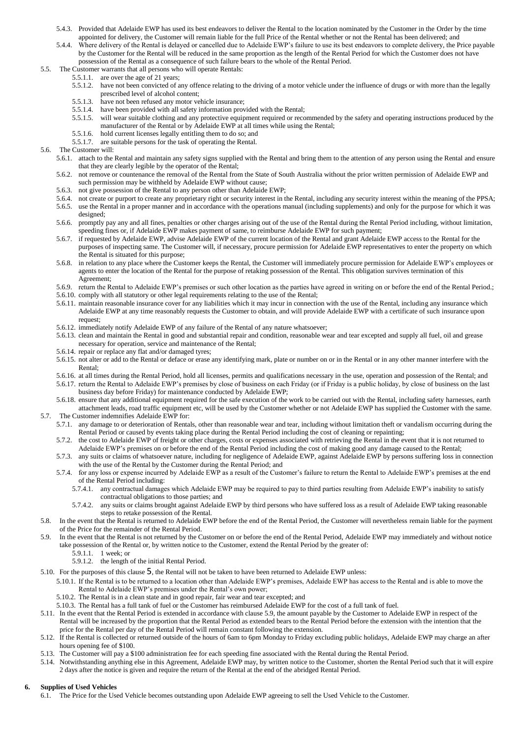- 5.4.3. Provided that Adelaide EWP has used its best endeavors to deliver the Rental to the location nominated by the Customer in the Order by the time appointed for delivery, the Customer will remain liable for the full Price of the Rental whether or not the Rental has been delivered; and
- 5.4.4. Where delivery of the Rental is delayed or cancelled due to Adelaide EWP's failure to use its best endeavors to complete delivery, the Price payable by the Customer for the Rental will be reduced in the same proportion as the length of the Rental Period for which the Customer does not have possession of the Rental as a consequence of such failure bears to the whole of the Rental Period.
- 5.5. The Customer warrants that all persons who will operate Rentals:
	- 5.5.1.1. are over the age of 21 years;
	- 5.5.1.2. have not been convicted of any offence relating to the driving of a motor vehicle under the influence of drugs or with more than the legally prescribed level of alcohol content;
	- 5.5.1.3. have not been refused any motor vehicle insurance;
	- 5.5.1.4. have been provided with all safety information provided with the Rental;
	- 5.5.1.5. will wear suitable clothing and any protective equipment required or recommended by the safety and operating instructions produced by the manufacturer of the Rental or by Adelaide EWP at all times while using the Rental;
	- 5.5.1.6. hold current licenses legally entitling them to do so; and
	- 5.5.1.7. are suitable persons for the task of operating the Rental.
- 5.6. The Customer will:
	- 5.6.1. attach to the Rental and maintain any safety signs supplied with the Rental and bring them to the attention of any person using the Rental and ensure that they are clearly legible by the operator of the Rental;
	- 5.6.2. not remove or countenance the removal of the Rental from the State of South Australia without the prior written permission of Adelaide EWP and such permission may be withheld by Adelaide EWP without cause;
	- 5.6.3. not give possession of the Rental to any person other than Adelaide EWP;
	- 5.6.4. not create or purport to create any proprietary right or security interest in the Rental, including any security interest within the meaning of the PPSA;
	- 5.6.5. use the Rental in a proper manner and in accordance with the operations manual (including supplements) and only for the purpose for which it was designed;
	- 5.6.6. promptly pay any and all fines, penalties or other charges arising out of the use of the Rental during the Rental Period including, without limitation, speeding fines or, if Adelaide EWP makes payment of same, to reimburse Adelaide EWP for such payment;
	- 5.6.7. if requested by Adelaide EWP, advise Adelaide EWP of the current location of the Rental and grant Adelaide EWP access to the Rental for the purposes of inspecting same. The Customer will, if necessary, procure permission for Adelaide EWP representatives to enter the property on which the Rental is situated for this purpose;
	- 5.6.8. in relation to any place where the Customer keeps the Rental, the Customer will immediately procure permission for Adelaide EWP's employees or agents to enter the location of the Rental for the purpose of retaking possession of the Rental. This obligation survives termination of this Agreement;
	- 5.6.9. return the Rental to Adelaide EWP's premises or such other location as the parties have agreed in writing on or before the end of the Rental Period.;
	- 5.6.10. comply with all statutory or other legal requirements relating to the use of the Rental;
	- 5.6.11. maintain reasonable insurance cover for any liabilities which it may incur in connection with the use of the Rental, including any insurance which Adelaide EWP at any time reasonably requests the Customer to obtain, and will provide Adelaide EWP with a certificate of such insurance upon request;
	- 5.6.12. immediately notify Adelaide EWP of any failure of the Rental of any nature whatsoever;
	- 5.6.13. clean and maintain the Rental in good and substantial repair and condition, reasonable wear and tear excepted and supply all fuel, oil and grease necessary for operation, service and maintenance of the Rental;
	- 5.6.14. repair or replace any flat and/or damaged tyres;
	- 5.6.15. not alter or add to the Rental or deface or erase any identifying mark, plate or number on or in the Rental or in any other manner interfere with the Rental;
	- 5.6.16. at all times during the Rental Period, hold all licenses, permits and qualifications necessary in the use, operation and possession of the Rental; and

5.6.17. return the Rental to Adelaide EWP's premises by close of business on each Friday (or if Friday is a public holiday, by close of business on the last business day before Friday) for maintenance conducted by Adelaide EWP;

- 5.6.18. ensure that any additional equipment required for the safe execution of the work to be carried out with the Rental, including safety harnesses, earth attachment leads, road traffic equipment etc, will be used by the Customer whether or not Adelaide EWP has supplied the Customer with the same. 5.7. The Customer indemnifies Adelaide EWP for:
	- 5.7.1. any damage to or deterioration of Rentals, other than reasonable wear and tear, including without limitation theft or vandalism occurring during the Rental Period or caused by events taking place during the Rental Period including the cost of cleaning or repainting;
	- 5.7.2. the cost to Adelaide EWP of freight or other charges, costs or expenses associated with retrieving the Rental in the event that it is not returned to
	- Adelaide EWP's premises on or before the end of the Rental Period including the cost of making good any damage caused to the Rental; 5.7.3. any suits or claims of whatsoever nature, including for negligence of Adelaide EWP, against Adelaide EWP by persons suffering loss in connection with the use of the Rental by the Customer during the Rental Period; and
	- 5.7.4. for any loss or expense incurred by Adelaide EWP as a result of the Customer's failure to return the Rental to Adelaide EWP's premises at the end of the Rental Period including:
		- 5.7.4.1. any contractual damages which Adelaide EWP may be required to pay to third parties resulting from Adelaide EWP's inability to satisfy contractual obligations to those parties; and
		- 5.7.4.2. any suits or claims brought against Adelaide EWP by third persons who have suffered loss as a result of Adelaide EWP taking reasonable steps to retake possession of the Rental.
- 5.8. In the event that the Rental is returned to Adelaide EWP before the end of the Rental Period, the Customer will nevertheless remain liable for the payment of the Price for the remainder of the Rental Period.
- <span id="page-1-0"></span>5.9. In the event that the Rental is not returned by the Customer on or before the end of the Rental Period, Adelaide EWP may immediately and without notice take possession of the Rental or, by written notice to the Customer, extend the Rental Period by the greater of:
	- 5.9.1.1. 1 week; or
	- 5.9.1.2. the length of the initial Rental Period.
- 5.10. For the purposes of this clause [5](#page-0-6), the Rental will not be taken to have been returned to Adelaide EWP unless:
	- 5.10.1. If the Rental is to be returned to a location other than Adelaide EWP's premises, Adelaide EWP has access to the Rental and is able to move the Rental to Adelaide EWP's premises under the Rental's own power;
	- 5.10.2. The Rental is in a clean state and in good repair, fair wear and tear excepted; and
	- 5.10.3. The Rental has a full tank of fuel or the Customer has reimbursed Adelaide EWP for the cost of a full tank of fuel.
- 5.11. In the event that the Rental Period is extended in accordance with clause [5.9,](#page-1-0) the amount payable by the Customer to Adelaide EWP in respect of the Rental will be increased by the proportion that the Rental Period as extended bears to the Rental Period before the extension with the intention that the price for the Rental per day of the Rental Period will remain constant following the extension.
- 5.12. If the Rental is collected or returned outside of the hours of 6am to 6pm Monday to Friday excluding public holidays, Adelaide EWP may charge an after hours opening fee of \$100.
- 5.13. The Customer will pay a \$100 administration fee for each speeding fine associated with the Rental during the Rental Period.
- 5.14. Notwithstanding anything else in this Agreement, Adelaide EWP may, by written notice to the Customer, shorten the Rental Period such that it will expire 2 days after the notice is given and require the return of the Rental at the end of the abridged Rental Period.

## <span id="page-1-2"></span><span id="page-1-1"></span>**6. Supplies of Used Vehicles**

6.1. The Price for the Used Vehicle becomes outstanding upon Adelaide EWP agreeing to sell the Used Vehicle to the Customer.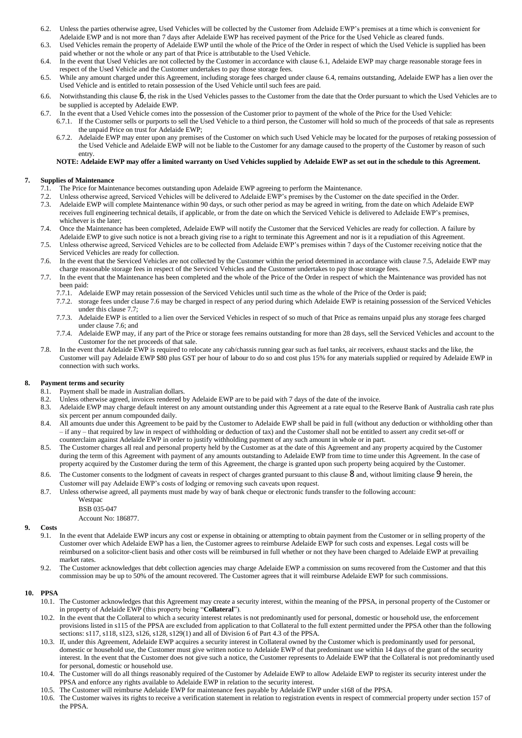- 6.2. Unless the parties otherwise agree, Used Vehicles will be collected by the Customer from Adelaide EWP's premises at a time which is convenient for Adelaide EWP and is not more than 7 days after Adelaide EWP has received payment of the Price for the Used Vehicle as cleared funds.
- 6.3. Used Vehicles remain the property of Adelaide EWP until the whole of the Price of the Order in respect of which the Used Vehicle is supplied has been paid whether or not the whole or any part of that Price is attributable to the Used Vehicle.
- <span id="page-2-1"></span>6.4. In the event that Used Vehicles are not collected by the Customer in accordance with claus[e 6.1,](#page-1-1) Adelaide EWP may charge reasonable storage fees in respect of the Used Vehicle and the Customer undertakes to pay those storage fees.
- 6.5. While any amount charged under this Agreement, including storage fees charged under claus[e 6.4,](#page-2-1) remains outstanding, Adelaide EWP has a lien over the Used Vehicle and is entitled to retain possession of the Used Vehicle until such fees are paid.
- 6.6. Notwithstanding this clause [6](#page-1-2), the risk in the Used Vehicles passes to the Customer from the date that the Order pursuant to which the Used Vehicles are to be supplied is accepted by Adelaide EWP.
- 6.7. In the event that a Used Vehicle comes into the possession of the Customer prior to payment of the whole of the Price for the Used Vehicle:
	- 6.7.1. If the Customer sells or purports to sell the Used Vehicle to a third person, the Customer will hold so much of the proceeds of that sale as represents the unpaid Price on trust for Adelaide EWP;
	- 6.7.2. Adelaide EWP may enter upon any premises of the Customer on which such Used Vehicle may be located for the purposes of retaking possession of the Used Vehicle and Adelaide EWP will not be liable to the Customer for any damage caused to the property of the Customer by reason of such entry.

## **NOTE: Adelaide EWP may offer a limited warranty on Used Vehicles supplied by Adelaide EWP as set out in the schedule to this Agreement.**

## **7. Supplies of Maintenance**

- 7.1. The Price for Maintenance becomes outstanding upon Adelaide EWP agreeing to perform the Maintenance.
- 7.2. Unless otherwise agreed, Serviced Vehicles will be delivered to Adelaide EWP's premises by the Customer on the date specified in the Order.
- 7.3. Adelaide EWP will complete Maintenance within 90 days, or such other period as may be agreed in writing, from the date on which Adelaide EWP receives full engineering technical details, if applicable, or from the date on which the Serviced Vehicle is delivered to Adelaide EWP's premises, whichever is the later;
- 7.4. Once the Maintenance has been completed, Adelaide EWP will notify the Customer that the Serviced Vehicles are ready for collection. A failure by Adelaide EWP to give such notice is not a breach giving rise to a right to terminate this Agreement and nor is it a repudiation of this Agreement.
- <span id="page-2-2"></span>7.5. Unless otherwise agreed, Serviced Vehicles are to be collected from Adelaide EWP's premises within 7 days of the Customer receiving notice that the Serviced Vehicles are ready for collection.
- <span id="page-2-3"></span>7.6. In the event that the Serviced Vehicles are not collected by the Customer within the period determined in accordance with claus[e 7.5,](#page-2-2) Adelaide EWP may charge reasonable storage fees in respect of the Serviced Vehicles and the Customer undertakes to pay those storage fees.
- <span id="page-2-4"></span>7.7. In the event that the Maintenance has been completed and the whole of the Price of the Order in respect of which the Maintenance was provided has not been paid:
	- 7.7.1. Adelaide EWP may retain possession of the Serviced Vehicles until such time as the whole of the Price of the Order is paid;
	- 7.7.2. storage fees under claus[e 7.6](#page-2-3) may be charged in respect of any period during which Adelaide EWP is retaining possession of the Serviced Vehicles under this claus[e 7.7;](#page-2-4)
	- 7.7.3. Adelaide EWP is entitled to a lien over the Serviced Vehicles in respect of so much of that Price as remains unpaid plus any storage fees charged under clause [7.6;](#page-2-3) and
	- 7.7.4. Adelaide EWP may, if any part of the Price or storage fees remains outstanding for more than 28 days, sell the Serviced Vehicles and account to the Customer for the net proceeds of that sale.
- 7.8. In the event that Adelaide EWP is required to relocate any cab/chassis running gear such as fuel tanks, air receivers, exhaust stacks and the like, the Customer will pay Adelaide EWP \$80 plus GST per hour of labour to do so and cost plus 15% for any materials supplied or required by Adelaide EWP in connection with such works.

# <span id="page-2-5"></span>**8. Payment terms and security**

- 8.1. Payment shall be made in Australian dollars.
- 8.2. Unless otherwise agreed, invoices rendered by Adelaide EWP are to be paid with 7 days of the date of the invoice.
- 8.3. Adelaide EWP may charge default interest on any amount outstanding under this Agreement at a rate equal to the Reserve Bank of Australia cash rate plus six percent per annum compounded daily.
- 8.4. All amounts due under this Agreement to be paid by the Customer to Adelaide EWP shall be paid in full (without any deduction or withholding other than – if any – that required by law in respect of withholding or deduction of tax) and the Customer shall not be entitled to assert any credit set-off or counterclaim against Adelaide EWP in order to justify withholding payment of any such amount in whole or in part.
- 8.5. The Customer charges all real and personal property held by the Customer as at the date of this Agreement and any property acquired by the Customer during the term of this Agreement with payment of any amounts outstanding to Adelaide EWP from time to time under this Agreement. In the case of property acquired by the Customer during the term of this Agreement, the charge is granted upon such property being acquired by the Customer.
- [8](#page-2-5).6. The Customer consents to the lodgment of caveats in respect of charges granted pursuant to this clause 8 and, without limiting clause [9](#page-2-6) herein, the Customer will pay Adelaide EWP's costs of lodging or removing such caveats upon request.
- 8.7. Unless otherwise agreed, all payments must made by way of bank cheque or electronic funds transfer to the following account:
	- Westpac

BSB 035-047 Account No: 186877.

# <span id="page-2-6"></span>**9. Costs**

- 9.1. In the event that Adelaide EWP incurs any cost or expense in obtaining or attempting to obtain payment from the Customer or in selling property of the Customer over which Adelaide EWP has a lien, the Customer agrees to reimburse Adelaide EWP for such costs and expenses. Legal costs will be reimbursed on a solicitor-client basis and other costs will be reimbursed in full whether or not they have been charged to Adelaide EWP at prevailing market rates
- 9.2. The Customer acknowledges that debt collection agencies may charge Adelaide EWP a commission on sums recovered from the Customer and that this commission may be up to 50% of the amount recovered. The Customer agrees that it will reimburse Adelaide EWP for such commissions.

## <span id="page-2-0"></span>**10. PPSA**

- 10.1. The Customer acknowledges that this Agreement may create a security interest, within the meaning of the PPSA, in personal property of the Customer or in property of Adelaide EWP (this property being "**Collateral**").
- 10.2. In the event that the Collateral to which a security interest relates is not predominantly used for personal, domestic or household use, the enforcement provisions listed in s115 of the PPSA are excluded from application to that Collateral to the full extent permitted under the PPSA other than the following sections: s117, s118, s123, s126, s128, s129(1) and all of Division 6 of Part 4.3 of the PPSA.
- 10.3. If, under this Agreement, Adelaide EWP acquires a security interest in Collateral owned by the Customer which is predominantly used for personal, domestic or household use, the Customer must give written notice to Adelaide EWP of that predominant use within 14 days of the grant of the security interest. In the event that the Customer does not give such a notice, the Customer represents to Adelaide EWP that the Collateral is not predominantly used for personal, domestic or household use.
- 10.4. The Customer will do all things reasonably required of the Customer by Adelaide EWP to allow Adelaide EWP to register its security interest under the PPSA and enforce any rights available to Adelaide EWP in relation to the security interest.
- 10.5. The Customer will reimburse Adelaide EWP for maintenance fees payable by Adelaide EWP under s168 of the PPSA.
- The Customer waives its rights to receive a verification statement in relation to registration events in respect of commercial property under section 157 of the PPSA.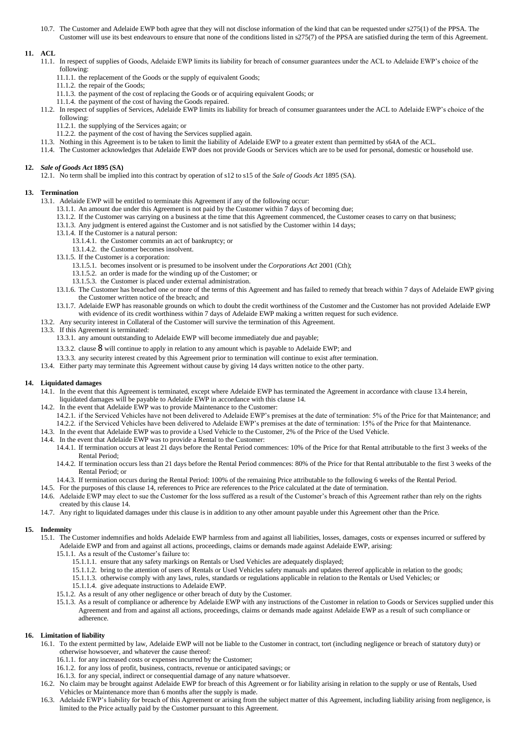10.7. The Customer and Adelaide EWP both agree that they will not disclose information of the kind that can be requested under s275(1) of the PPSA. The Customer will use its best endeavours to ensure that none of the conditions listed in s275(7) of the PPSA are satisfied during the term of this Agreement.

## **11. ACL**

- 11.1. In respect of supplies of Goods, Adelaide EWP limits its liability for breach of consumer guarantees under the ACL to Adelaide EWP's choice of the following:
	- 11.1.1. the replacement of the Goods or the supply of equivalent Goods;
	- 11.1.2. the repair of the Goods;
	- 11.1.3. the payment of the cost of replacing the Goods or of acquiring equivalent Goods; or
	- 11.1.4. the payment of the cost of having the Goods repaired.
- 11.2. In respect of supplies of Services, Adelaide EWP limits its liability for breach of consumer guarantees under the ACL to Adelaide EWP's choice of the following:
	- 11.2.1. the supplying of the Services again; or
	- 11.2.2. the payment of the cost of having the Services supplied again.
- 11.3. Nothing in this Agreement is to be taken to limit the liability of Adelaide EWP to a greater extent than permitted by s64A of the ACL.
- 11.4. The Customer acknowledges that Adelaide EWP does not provide Goods or Services which are to be used for personal, domestic or household use.

## **12.** *Sale of Goods Act* **1895 (SA)**

12.1. No term shall be implied into this contract by operation of s12 to s15 of the *Sale of Goods Act* 1895 (SA).

## **13. Termination**

- 13.1. Adelaide EWP will be entitled to terminate this Agreement if any of the following occur:
	- 13.1.1. An amount due under this Agreement is not paid by the Customer within 7 days of becoming due;
	- 13.1.2. If the Customer was carrying on a business at the time that this Agreement commenced, the Customer ceases to carry on that business;
	- 13.1.3. Any judgment is entered against the Customer and is not satisfied by the Customer within 14 days;
	- 13.1.4. If the Customer is a natural person:
		- 13.1.4.1. the Customer commits an act of bankruptcy; or
		- 13.1.4.2. the Customer becomes insolvent.
	- 13.1.5. If the Customer is a corporation:
		- 13.1.5.1. becomes insolvent or is presumed to be insolvent under the *Corporations Act* 2001 (Cth);
		- 13.1.5.2. an order is made for the winding up of the Customer; or
		- 13.1.5.3. the Customer is placed under external administration.
	- 13.1.6. The Customer has breached one or more of the terms of this Agreement and has failed to remedy that breach within 7 days of Adelaide EWP giving the Customer written notice of the breach; and
	- 13.1.7. Adelaide EWP has reasonable grounds on which to doubt the credit worthiness of the Customer and the Customer has not provided Adelaide EWP with evidence of its credit worthiness within 7 days of Adelaide EWP making a written request for such evidence.
- 13.2. Any security interest in Collateral of the Customer will survive the termination of this Agreement.
- 13.3. If this Agreement is terminated:
	- 13.3.1. any amount outstanding to Adelaide EWP will become immediately due and payable;
	- 13.3.2. clause [8](#page-2-5) will continue to apply in relation to any amount which is payable to Adelaide EWP; and
	- 13.3.3. any security interest created by this Agreement prior to termination will continue to exist after termination.
- 13.4. Either party may terminate this Agreement without cause by giving 14 days written notice to the other party.

# <span id="page-3-1"></span><span id="page-3-0"></span>**14. Liquidated damages**

- 14.1. In the event that this Agreement is terminated, except where Adelaide EWP has terminated the Agreement in accordance with claus[e 13.4](#page-3-0) herein, liquidated damages will be payable to Adelaide EWP in accordance with this claus[e 14.](#page-3-1)
- 14.2. In the event that Adelaide EWP was to provide Maintenance to the Customer:
	- 14.2.1. if the Serviced Vehicles have not been delivered to Adelaide EWP's premises at the date of termination: 5% of the Price for that Maintenance; and 14.2.2. if the Serviced Vehicles have been delivered to Adelaide EWP's premises at the date of termination: 15% of the Price for that Maintenance.
- 14.3. In the event that Adelaide EWP was to provide a Used Vehicle to the Customer, 2% of the Price of the Used Vehicle.
- 14.4. In the event that Adelaide EWP was to provide a Rental to the Customer:
	- 14.4.1. If termination occurs at least 21 days before the Rental Period commences: 10% of the Price for that Rental attributable to the first 3 weeks of the Rental Period;
	- 14.4.2. If termination occurs less than 21 days before the Rental Period commences: 80% of the Price for that Rental attributable to the first 3 weeks of the Rental Period; or
	- 14.4.3. If termination occurs during the Rental Period: 100% of the remaining Price attributable to the following 6 weeks of the Rental Period.
- 14.5. For the purposes of this claus[e 14,](#page-3-1) references to Price are references to the Price calculated at the date of termination.
- 14.6. Adelaide EWP may elect to sue the Customer for the loss suffered as a result of the Customer's breach of this Agreement rather than rely on the rights created by this claus[e 14.](#page-3-1)
- 14.7. Any right to liquidated damages under this clause is in addition to any other amount payable under this Agreement other than the Price.

## **15. Indemnity**

- 15.1. The Customer indemnifies and holds Adelaide EWP harmless from and against all liabilities, losses, damages, costs or expenses incurred or suffered by Adelaide EWP and from and against all actions, proceedings, claims or demands made against Adelaide EWP, arising:
	- 15.1.1. As a result of the Customer's failure to:
		- 15.1.1.1. ensure that any safety markings on Rentals or Used Vehicles are adequately displayed;
		- 15.1.1.2. bring to the attention of users of Rentals or Used Vehicles safety manuals and updates thereof applicable in relation to the goods;
		- 15.1.1.3. otherwise comply with any laws, rules, standards or regulations applicable in relation to the Rentals or Used Vehicles; or
		- 15.1.1.4. give adequate instructions to Adelaide EWP.
	- 15.1.2. As a result of any other negligence or other breach of duty by the Customer.
	- 15.1.3. As a result of compliance or adherence by Adelaide EWP with any instructions of the Customer in relation to Goods or Services supplied under this Agreement and from and against all actions, proceedings, claims or demands made against Adelaide EWP as a result of such compliance or adherence.

## **16. Limitation of liability**

- 16.1. To the extent permitted by law, Adelaide EWP will not be liable to the Customer in contract, tort (including negligence or breach of statutory duty) or otherwise howsoever, and whatever the cause thereof:
	- 16.1.1. for any increased costs or expenses incurred by the Customer;
	- 16.1.2. for any loss of profit, business, contracts, revenue or anticipated savings; or
	- 16.1.3. for any special, indirect or consequential damage of any nature whatsoever.
- 16.2. No claim may be brought against Adelaide EWP for breach of this Agreement or for liability arising in relation to the supply or use of Rentals, Used Vehicles or Maintenance more than 6 months after the supply is made.
- 16.3. Adelaide EWP's liability for breach of this Agreement or arising from the subject matter of this Agreement, including liability arising from negligence, is limited to the Price actually paid by the Customer pursuant to this Agreement.